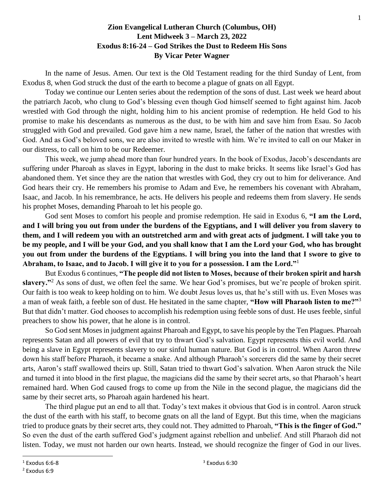## **Zion Evangelical Lutheran Church (Columbus, OH) Lent Midweek 3 – March 23, 2022 Exodus 8:16-24 – God Strikes the Dust to Redeem His Sons By Vicar Peter Wagner**

In the name of Jesus. Amen. Our text is the Old Testament reading for the third Sunday of Lent, from Exodus 8, when God struck the dust of the earth to become a plague of gnats on all Egypt.

Today we continue our Lenten series about the redemption of the sons of dust. Last week we heard about the patriarch Jacob, who clung to God's blessing even though God himself seemed to fight against him. Jacob wrestled with God through the night, holding him to his ancient promise of redemption. He held God to his promise to make his descendants as numerous as the dust, to be with him and save him from Esau. So Jacob struggled with God and prevailed. God gave him a new name, Israel, the father of the nation that wrestles with God. And as God's beloved sons, we are also invited to wrestle with him. We're invited to call on our Maker in our distress, to call on him to be our Redeemer.

This week, we jump ahead more than four hundred years. In the book of Exodus, Jacob's descendants are suffering under Pharoah as slaves in Egypt, laboring in the dust to make bricks. It seems like Israel's God has abandoned them. Yet since they are the nation that wrestles with God, they cry out to him for deliverance. And God hears their cry. He remembers his promise to Adam and Eve, he remembers his covenant with Abraham, Isaac, and Jacob. In his remembrance, he acts. He delivers his people and redeems them from slavery. He sends his prophet Moses, demanding Pharoah to let his people go.

God sent Moses to comfort his people and promise redemption. He said in Exodus 6, **"I am the Lord, and I will bring you out from under the burdens of the Egyptians, and I will deliver you from slavery to them, and I will redeem you with an outstretched arm and with great acts of judgment. I will take you to be my people, and I will be your God, and you shall know that I am the Lord your God, who has brought you out from under the burdens of the Egyptians. I will bring you into the land that I swore to give to Abraham, to Isaac, and to Jacob. I will give it to you for a possession. I am the Lord."**<sup>1</sup>

But Exodus 6 continues, **"The people did not listen to Moses, because of their broken spirit and harsh**  slavery."<sup>2</sup> As sons of dust, we often feel the same. We hear God's promises, but we're people of broken spirit. Our faith is too weak to keep holding on to him. We doubt Jesus loves us, that he's still with us. Even Moses was a man of weak faith, a feeble son of dust. He hesitated in the same chapter, **"How will Pharaoh listen to me?"**<sup>3</sup> But that didn't matter. God chooses to accomplish his redemption using feeble sons of dust. He uses feeble, sinful preachers to show his power, that he alone is in control.

So God sent Moses in judgment against Pharoah and Egypt, to save his people by the Ten Plagues. Pharoah represents Satan and all powers of evil that try to thwart God's salvation. Egypt represents this evil world. And being a slave in Egypt represents slavery to our sinful human nature. But God is in control. When Aaron threw down his staff before Pharaoh, it became a snake. And although Pharaoh's sorcerers did the same by their secret arts, Aaron's staff swallowed theirs up. Still, Satan tried to thwart God's salvation. When Aaron struck the Nile and turned it into blood in the first plague, the magicians did the same by their secret arts, so that Pharaoh's heart remained hard. When God caused frogs to come up from the Nile in the second plague, the magicians did the same by their secret arts, so Pharoah again hardened his heart.

The third plague put an end to all that. Today's text makes it obvious that God is in control. Aaron struck the dust of the earth with his staff, to become gnats on all the land of Egypt. But this time, when the magicians tried to produce gnats by their secret arts, they could not. They admitted to Pharoah, **"This is the finger of God."** So even the dust of the earth suffered God's judgment against rebellion and unbelief. And still Pharaoh did not listen. Today, we must not harden our own hearts. Instead, we should recognize the finger of God in our lives.

 $1$  Exodus 6:6-8

<sup>2</sup> Exodus 6:9